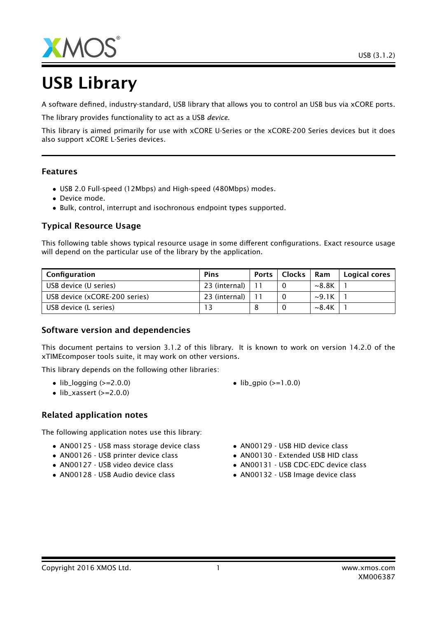



# USB Library

A software defined, industry-standard, USB library that allows you to control an USB bus via xCORE ports.

The library provides functionality to act as a USB *device*.

This library is aimed primarily for use with xCORE U-Series or the xCORE-200 Series devices but it does also support xCORE L-Series devices.

#### Features

- USB 2.0 Full-speed (12Mbps) and High-speed (480Mbps) modes.
- Device mode.
- Bulk, control, interrupt and isochronous endpoint types supported.

#### Typical Resource Usage

This following table shows typical resource usage in some different configurations. Exact resource usage will depend on the particular use of the library by the application.

| Configuration                 | <b>Pins</b>   | <b>Ports</b> | <b>Clocks</b> | Ram               | Logical cores |
|-------------------------------|---------------|--------------|---------------|-------------------|---------------|
| USB device (U series)         | 23 (internal) |              |               | ~8.8 <sub>K</sub> |               |
| USB device (xCORE-200 series) | 23 (internal) |              |               | $\sim$ 9.1K       |               |
| USB device (L series)         |               |              |               | $\sim$ 8.4K       |               |

#### Software version and dependencies

This document pertains to version 3.1.2 of this library. It is known to work on version 14.2.0 of the xTIMEcomposer tools suite, it may work on other versions.

This library depends on the following other libraries:

- $\bullet$  lib\_logging ( $>=$ 2.0.0)
- $\bullet$  lib\_xassert (>=2.0.0)

#### Related application notes

The following application notes use this library:

- AN00125 USB mass storage device class
- AN00126 USB printer device class
- AN00127 USB video device class
- AN00128 USB Audio device class
- $lib_qpio (> = 1.0.0)$
- AN00129 USB HID device class
- AN00130 Extended USB HID class
- AN00131 USB CDC-EDC device class
- AN00132 USB Image device class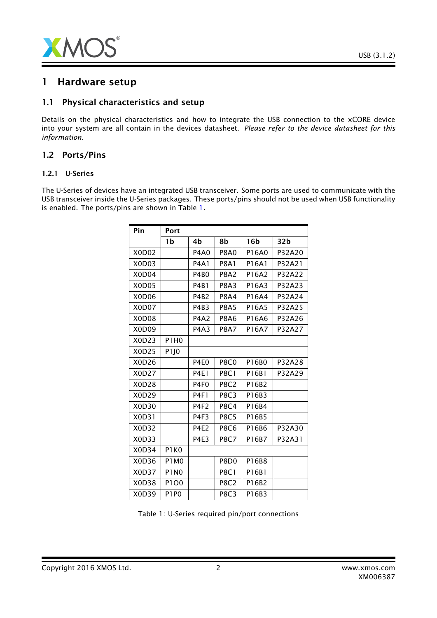

# 1 Hardware setup

#### 1.1 Physical characteristics and setup

Details on the physical characteristics and how to integrate the USB connection to the xCORE device into your system are all contain in the devices datasheet. *Please refer to the device datasheet for this information*.

#### 1.2 Ports/Pins

#### 1.2.1 U-Series

The U-Series of devices have an integrated USB transceiver. Some ports are used to communicate with the USB transceiver inside the U-Series packages. These ports/pins should not be used when USB functionality is enabled. The ports/pins are shown in Table [1.](#page-1-0)

| Pin   | Port             |                  |             |                 |        |
|-------|------------------|------------------|-------------|-----------------|--------|
|       | 1b               | 4b               | 8b          | 16 <sub>b</sub> | 32b    |
| X0D02 |                  | P4A0             | <b>P8A0</b> | P16A0           | P32A20 |
| X0D03 |                  | <b>P4A1</b>      | <b>P8A1</b> | P16A1           | P32A21 |
| X0D04 |                  | P4B <sub>0</sub> | <b>P8A2</b> | P16A2           | P32A22 |
| X0D05 |                  | <b>P4B1</b>      | <b>P8A3</b> | P16A3           | P32A23 |
| X0D06 |                  | P4B <sub>2</sub> | <b>P8A4</b> | P16A4           | P32A24 |
| X0D07 |                  | P4B3             | <b>P8A5</b> | P16A5           | P32A25 |
| X0D08 |                  | P4A2             | <b>P8A6</b> | P16A6           | P32A26 |
| X0D09 |                  | <b>P4A3</b>      | <b>P8A7</b> | P16A7           | P32A27 |
| X0D23 | P1H0             |                  |             |                 |        |
| X0D25 | P <sub>1JO</sub> |                  |             |                 |        |
| X0D26 |                  | <b>P4E0</b>      | <b>P8C0</b> | P16B0           | P32A28 |
| X0D27 |                  | <b>P4E1</b>      | <b>P8C1</b> | P16B1           | P32A29 |
| X0D28 |                  | P <sub>4F0</sub> | <b>P8C2</b> | P16B2           |        |
| X0D29 |                  | <b>P4F1</b>      | <b>P8C3</b> | P16B3           |        |
| X0D30 |                  | P4F <sub>2</sub> | <b>P8C4</b> | P16B4           |        |
| X0D31 |                  | P4F3             | <b>P8C5</b> | P16B5           |        |
| X0D32 |                  | <b>P4E2</b>      | <b>P8C6</b> | P16B6           | P32A30 |
| X0D33 |                  | <b>P4E3</b>      | <b>P8C7</b> | P16B7           | P32A31 |
| X0D34 | P1KO             |                  |             |                 |        |
| X0D36 | <b>P1M0</b>      |                  | <b>P8D0</b> | P16B8           |        |
| X0D37 | <b>P1N0</b>      |                  | <b>P8C1</b> | P16B1           |        |
| X0D38 | P1O0             |                  | <b>P8C2</b> | P16B2           |        |
| X0D39 | <b>P1P0</b>      |                  | <b>P8C3</b> | P16B3           |        |

<span id="page-1-0"></span>Table 1: U-Series required pin/port connections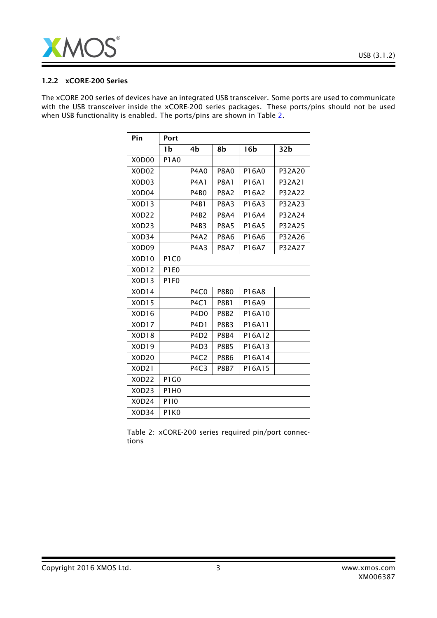

#### 1.2.2 xCORE-200 Series

The xCORE 200 series of devices have an integrated USB transceiver. Some ports are used to communicate with the USB transceiver inside the xCORE-200 series packages. These ports/pins should not be used when USB functionality is enabled. The ports/pins are shown in Table [2.](#page-2-0)

| Pin                            | Port                          |                               |             |                 |                 |
|--------------------------------|-------------------------------|-------------------------------|-------------|-----------------|-----------------|
|                                | 1b                            | 4b                            | 8b          | 16 <sub>b</sub> | 32 <sub>b</sub> |
| X0D00                          | <b>P1A0</b>                   |                               |             |                 |                 |
| X0D02                          |                               | <b>P4A0</b>                   | <b>P8A0</b> | P16A0           | P32A20          |
| X <sub>0</sub> D <sub>03</sub> |                               | <b>P4A1</b>                   | <b>P8A1</b> | P16A1           | P32A21          |
| X <sub>0</sub> D <sub>04</sub> |                               | <b>P4B0</b>                   | <b>P8A2</b> | P16A2           | P32A22          |
| X0D13                          |                               | <b>P4B1</b>                   | <b>P8A3</b> | P16A3           | P32A23          |
| X0D22                          |                               | <b>P4B2</b>                   | <b>P8A4</b> | P16A4           | P32A24          |
| X0D23                          |                               | P4B3                          | <b>P8A5</b> | P16A5           | P32A25          |
| X0D34                          |                               | <b>P4A2</b>                   | <b>P8A6</b> | P16A6           | P32A26          |
| X0D09                          |                               | <b>P4A3</b>                   | <b>P8A7</b> | P16A7           | P32A27          |
| X0D10                          | P <sub>1</sub> C <sub>0</sub> |                               |             |                 |                 |
| X0D12                          | P1E0                          |                               |             |                 |                 |
| X0D13                          | P1FO                          |                               |             |                 |                 |
| X0D14                          |                               | P <sub>4</sub> C <sub>0</sub> | <b>P8B0</b> | P16A8           |                 |
| X0D15                          |                               | <b>P4C1</b>                   | <b>P8B1</b> | P16A9           |                 |
| X0D16                          |                               | P <sub>4</sub> D <sub>0</sub> | <b>P8B2</b> | P16A10          |                 |
| X0D17                          |                               | P <sub>4</sub> D <sub>1</sub> | <b>P8B3</b> | P16A11          |                 |
| X0D18                          |                               | P <sub>4</sub> D <sub>2</sub> | <b>P8B4</b> | P16A12          |                 |
| X0D19                          |                               | P <sub>4</sub> D <sub>3</sub> | <b>P8B5</b> | P16A13          |                 |
| X0D20                          |                               | P <sub>4</sub> C <sub>2</sub> | <b>P8B6</b> | P16A14          |                 |
| X0D21                          |                               | P <sub>4C3</sub>              | <b>P8B7</b> | P16A15          |                 |
| X0D22                          | P <sub>1</sub> G <sub>0</sub> |                               |             |                 |                 |
| X0D23                          | P1H0                          |                               |             |                 |                 |
| X0D24                          | P110                          |                               |             |                 |                 |
| X0D34                          | P1K0                          |                               |             |                 |                 |

<span id="page-2-0"></span>Table 2: xCORE-200 series required pin/port connections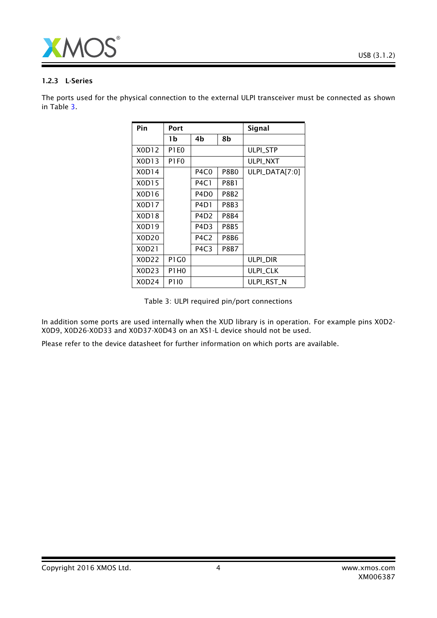

#### 1.2.3 L-Series

The ports used for the physical connection to the external ULPI transceiver must be connected as shown in Table [3.](#page-3-0)

| Pin   | Port        |                               |             | <b>Signal</b>    |
|-------|-------------|-------------------------------|-------------|------------------|
|       | 1b          | 4b                            | 8b          |                  |
| X0D12 | <b>P1E0</b> |                               |             | <b>ULPI STP</b>  |
| X0D13 | P1F0        |                               |             | <b>ULPI NXT</b>  |
| X0D14 |             | P4C0                          | P8B0        | $ULPI_DATA[7:0]$ |
| X0D15 |             | <b>P4C1</b>                   | P8B1        |                  |
| X0D16 |             | P4D <sub>0</sub>              | P8B2        |                  |
| X0D17 |             | P4D1                          | P8B3        |                  |
| X0D18 |             | P4D <sub>2</sub>              | P8B4        |                  |
| X0D19 |             | P4D3                          | P8B5        |                  |
| X0D20 |             | P4C2                          | P8B6        |                  |
| X0D21 |             | P <sub>4</sub> C <sub>3</sub> | <b>P8B7</b> |                  |
| X0D22 | P1 G0       |                               |             | ulpi dir         |
| X0D23 | P1H0        |                               |             | <b>ULPI_CLK</b>  |
| X0D24 | P110        |                               |             | ULPI RST N       |

<span id="page-3-0"></span>Table 3: ULPI required pin/port connections

In addition some ports are used internally when the XUD library is in operation. For example pins X0D2- X0D9, X0D26-X0D33 and X0D37-X0D43 on an XS1-L device should not be used.

Please refer to the device datasheet for further information on which ports are available.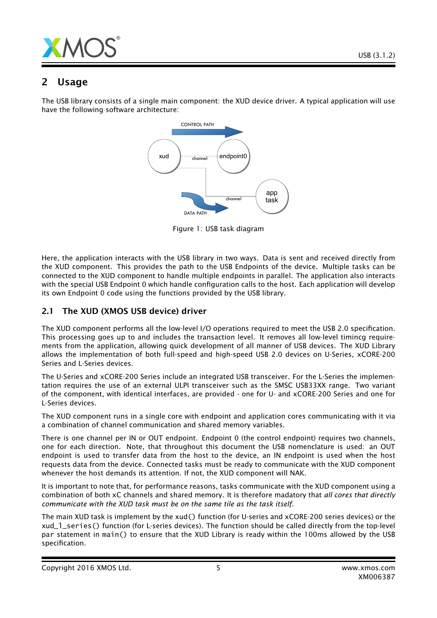

# 2 Usage

The USB library consists of a single main component: the XUD device driver. A typical application will use have the following software architecture:



Figure 1: USB task diagram

Here, the application interacts with the USB library in two ways. Data is sent and received directly from the XUD component. This provides the path to the USB Endpoints of the device. Multiple tasks can be connected to the XUD component to handle multiple endpoints in parallel. The application also interacts with the special USB Endpoint 0 which handle configuration calls to the host. Each application will develop its own Endpoint 0 code using the functions provided by the USB library.

# 2.1 The XUD (XMOS USB device) driver

The XUD component performs all the low-level I/O operations required to meet the USB 2.0 specification. This processing goes up to and includes the transaction level. It removes all low-level timincg requirements from the application, allowing quick development of all manner of USB devices. The XUD Library allows the implementation of both full-speed and high-speed USB 2.0 devices on U-Series, xCORE-200 Series and L-Series devices.

The U-Series and xCORE-200 Series include an integrated USB transceiver. For the L-Series the implementation requires the use of an external ULPI transceiver such as the SMSC USB33XX range. Two variant of the component, with identical interfaces, are provided - one for U- and xCORE-200 Series and one for L-Series devices.

The XUD component runs in a single core with endpoint and application cores communicating with it via a combination of channel communication and shared memory variables.

There is one channel per IN or OUT endpoint. Endpoint 0 (the control endpoint) requires two channels, one for each direction. Note, that throughout this document the USB nomenclature is used: an OUT endpoint is used to transfer data from the host to the device, an IN endpoint is used when the host requests data from the device. Connected tasks must be ready to communicate with the XUD component whenever the host demands its attention. If not, the XUD component will NAK.

It is important to note that, for performance reasons, tasks communicate with the XUD component using a combination of both xC channels and shared memory. It is therefore madatory that *all cores that directly communicate with the XUD task must be on the same tile as the task itself*.

The main XUD task is implement by the xud() function (for U-series and xCORE-200 series devices) or the xud\_l\_series() function (for L-series devices). The function should be called directly from the top-level par statement in main() to ensure that the XUD Library is ready within the 100ms allowed by the USB specification.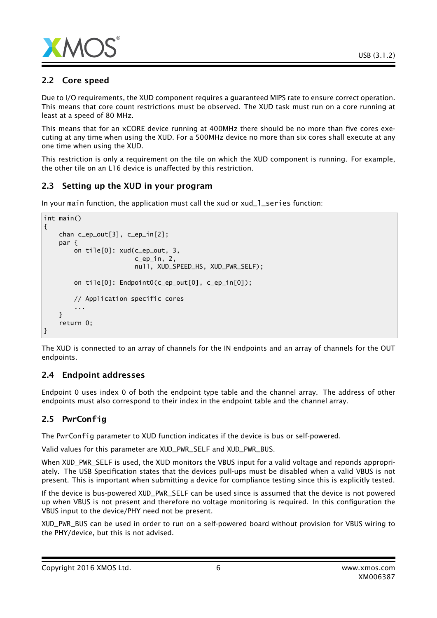

# 2.2 Core speed

Due to I/O requirements, the XUD component requires a guaranteed MIPS rate to ensure correct operation. This means that core count restrictions must be observed. The XUD task must run on a core running at least at a speed of 80 MHz.

This means that for an xCORE device running at 400MHz there should be no more than five cores executing at any time when using the XUD. For a 500MHz device no more than six cores shall execute at any one time when using the XUD.

This restriction is only a requirement on the tile on which the XUD component is running. For example, the other tile on an L16 device is unaffected by this restriction.

# 2.3 Setting up the XUD in your program

In your main function, the application must call the xud or xud\_1\_series function:

```
int main()
{
    chan c_ep_out[3], c_ep_in[2];
    par {
        on tile[0]: xud(c_ep_out, 3,
                         c_ep_in, 2,
                        null, XUD_SPEED_HS, XUD_PWR_SELF);
        on tile[0]: Endpoint0(c_ep_out[0], c_ep_in[0]);
        // Application specific cores
        ...
    }
    return 0;
}
```
The XUD is connected to an array of channels for the IN endpoints and an array of channels for the OUT endpoints.

# 2.4 Endpoint addresses

Endpoint 0 uses index 0 of both the endpoint type table and the channel array. The address of other endpoints must also correspond to their index in the endpoint table and the channel array.

# 2.5 **PwrConfig**

The PwrConfig parameter to XUD function indicates if the device is bus or self-powered.

Valid values for this parameter are XUD\_PWR\_SELF and XUD\_PWR\_BUS.

When XUD\_PWR\_SELF is used, the XUD monitors the VBUS input for a valid voltage and reponds appropriately. The USB Specification states that the devices pull-ups must be disabled when a valid VBUS is not present. This is important when submitting a device for compliance testing since this is explicitly tested.

If the device is bus-powered XUD\_PWR\_SELF can be used since is assumed that the device is not powered up when VBUS is not present and therefore no voltage monitoring is required. In this configuration the VBUS input to the device/PHY need not be present.

XUD\_PWR\_BUS can be used in order to run on a self-powered board without provision for VBUS wiring to the PHY/device, but this is not advised.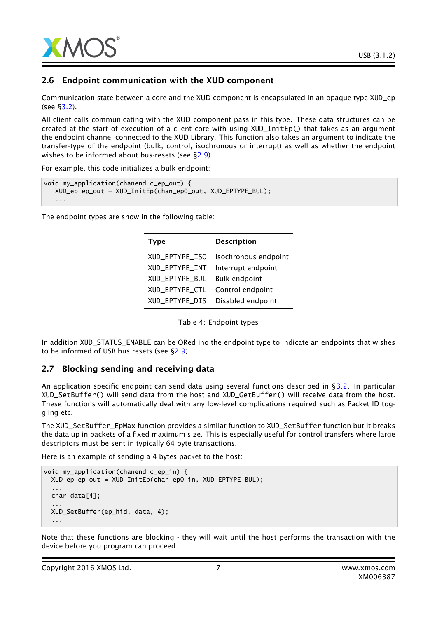

#### 2.6 Endpoint communication with the XUD component

Communication state between a core and the XUD component is encapsulated in an opaque type XUD\_ep (see [§3.2\)](#page-13-0).

All client calls communicating with the XUD component pass in this type. These data structures can be created at the start of execution of a client core with using XUD\_InitEp() that takes as an argument the endpoint channel connected to the XUD Library. This function also takes an argument to indicate the transfer-type of the endpoint (bulk, control, isochronous or interrupt) as well as whether the endpoint wishes to be informed about bus-resets (see [§2.9\)](#page-7-0).

For example, this code initializes a bulk endpoint:

```
void my_application(chanend c_ep_out) {
  XUD_ep ep_out = XUD_InitEp(chan_ep0_out, XUD_EPTYPE_BUL);
   ...
```
The endpoint types are show in the following table:

| <b>Type</b>    | <b>Description</b>   |
|----------------|----------------------|
| XUD_EPTYPE_ISO | Isochronous endpoint |
| XUD EPTYPE INT | Interrupt endpoint   |
| XUD_EPTYPE_BUL | <b>Bulk endpoint</b> |
| XUD_EPTYPE_CTL | Control endpoint     |
| XUD_EPTYPE_DIS | Disabled endpoint    |

Table 4: Endpoint types

In addition XUD\_STATUS\_ENABLE can be ORed ino the endpoint type to indicate an endpoints that wishes to be informed of USB bus resets (see [§2.9\)](#page-7-0).

#### 2.7 Blocking sending and receiving data

An application specific endpoint can send data using several functions described in [§3.2.](#page-13-0) In particular XUD\_SetBuffer() will send data from the host and XUD\_GetBuffer() will receive data from the host. These functions will automatically deal with any low-level complications required such as Packet ID toggling etc.

The XUD\_SetBuffer\_EpMax function provides a similar function to XUD\_SetBuffer function but it breaks the data up in packets of a fixed maximum size. This is especially useful for control transfers where large descriptors must be sent in typically 64 byte transactions.

Here is an example of sending a 4 bytes packet to the host:

```
void my_application(chanend c_ep_in) {
 XUD_ep ep_out = XUD_InitEp(chan_ep0_in, XUD_EPTYPE_BUL);
  ...
 char data[4];
  ...
 XUD_SetBuffer(ep_hid, data, 4);
  ...
```
Note that these functions are blocking - they will wait until the host performs the transaction with the device before you program can proceed.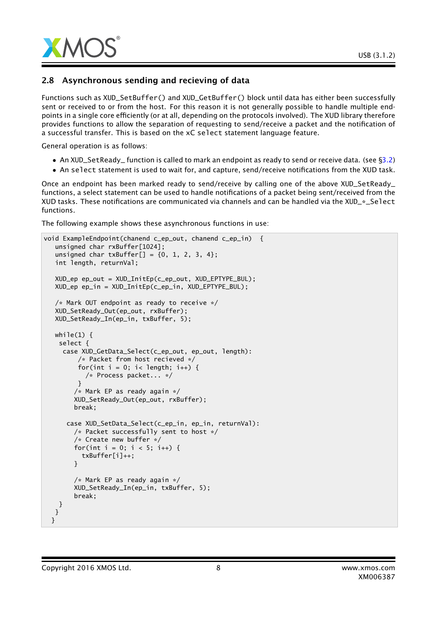

## 2.8 Asynchronous sending and recieving of data

Functions such as XUD\_SetBuffer() and XUD\_GetBuffer() block until data has either been successfully sent or received to or from the host. For this reason it is not generally possible to handle multiple endpoints in a single core efficiently (or at all, depending on the protocols involved). The XUD library therefore provides functions to allow the separation of requesting to send/receive a packet and the notification of a successful transfer. This is based on the xC select statement language feature.

General operation is as follows:

- An XUD\_SetReady\_ function is called to mark an endpoint as ready to send or receive data. (see [§3.2\)](#page-13-0)
- An select statement is used to wait for, and capture, send/receive notifications from the XUD task.

Once an endpoint has been marked ready to send/receive by calling one of the above XUD\_SetReady\_ functions, a select statement can be used to handle notifications of a packet being sent/received from the XUD tasks. These notifications are communicated via channels and can be handled via the XUD\_\*\_Select functions.

The following example shows these asynchronous functions in use:

```
void ExampleEndpoint(chanend c_ep_out, chanend c_ep_in) {
   unsigned char rxBuffer[1024];
   unsigned char txBuffer[] = {0, 1, 2, 3, 4};
   int length, returnVal;
  XUD_ep ep_out = XUD_InitEp(c_ep_out, XUD_EPTYPE_BUL);
  XUD_ep ep_in = XUD_InitEp(c_ep_in, XUD_EPTYPE_BUL);
  /* Mark OUT endpoint as ready to receive */
  XUD_SetReady_Out(ep_out, rxBuffer);
  XUD_SetReady_In(ep_in, txBuffer, 5);
  while(1) \{select {
     case XUD_GetData_Select(c_ep_out, ep_out, length):
         /* Packet from host recieved */
         for(int i = 0; i< length; i++) {
           /* Process packet... */
         }
        /* Mark EP as ready again */
        XUD_SetReady_Out(ep_out, rxBuffer);
        break;
      case XUD_SetData_Select(c_ep_in, ep_in, returnVal):
        /* Packet successfully sent to host */
        /* Create new buffer */
        for(int i = 0; i < 5; i++) {
          txBuffer[i]++;
        }
        /* Mark EP as ready again */
        XUD_SetReady_In(ep_in, txBuffer, 5);
        break;
   }
  }
 }
```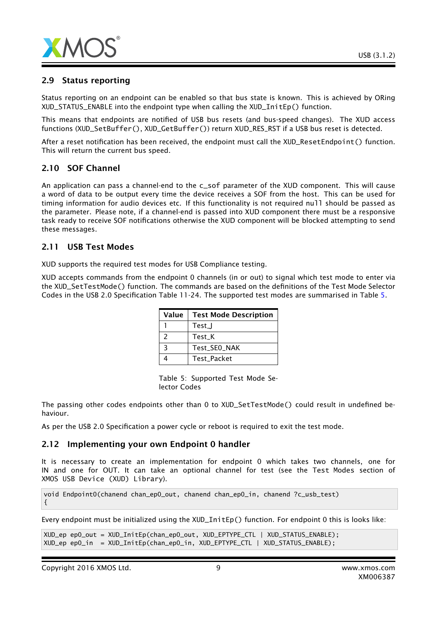

## 2.9 Status reporting

Status reporting on an endpoint can be enabled so that bus state is known. This is achieved by ORing XUD\_STATUS\_ENABLE into the endpoint type when calling the XUD\_InitEp() function.

This means that endpoints are notified of USB bus resets (and bus-speed changes). The XUD access functions (XUD\_SetBuffer(), XUD\_GetBuffer()) return XUD\_RES\_RST if a USB bus reset is detected.

After a reset notification has been received, the endpoint must call the XUD\_ResetEndpoint() function. This will return the current bus speed.

# 2.10 SOF Channel

An application can pass a channel-end to the c\_sof parameter of the XUD component. This will cause a word of data to be output every time the device receives a SOF from the host. This can be used for timing information for audio devices etc. If this functionality is not required null should be passed as the parameter. Please note, if a channel-end is passed into XUD component there must be a responsive task ready to receive SOF notifications otherwise the XUD component will be blocked attempting to send these messages.

#### 2.11 USB Test Modes

XUD supports the required test modes for USB Compliance testing.

XUD accepts commands from the endpoint 0 channels (in or out) to signal which test mode to enter via the XUD\_SetTestMode() function. The commands are based on the definitions of the Test Mode Selector Codes in the USB 2.0 Specification Table 11-24. The supported test modes are summarised in Table [5.](#page-8-0)

| Value | <b>Test Mode Description</b> |
|-------|------------------------------|
|       | Test_J                       |
| 2     | Test K                       |
| ર     | Test_SEO_NAK                 |
|       | <b>Test Packet</b>           |

<span id="page-8-0"></span>Table 5: Supported Test Mode Selector Codes

The passing other codes endpoints other than 0 to XUD\_SetTestMode() could result in undefined behaviour.

As per the USB 2.0 Specification a power cycle or reboot is required to exit the test mode.

#### 2.12 Implementing your own Endpoint 0 handler

It is necessary to create an implementation for endpoint 0 which takes two channels, one for IN and one for OUT. It can take an optional channel for test (see the Test Modes section of XMOS USB Device (XUD) Library).

void Endpoint0(chanend chan\_ep0\_out, chanend chan\_ep0\_in, chanend ?c\_usb\_test) {

Every endpoint must be initialized using the XUD\_InitEp() function. For endpoint 0 this is looks like:

```
XUD_ep ep0_out = XUD_InitEp(chan_ep0_out, XUD_EPTYPE_CTL | XUD_STATUS_ENABLE);
XUD_ep ep0_in = XUD_InitEp(chan_ep0_in, XUD_EPTYPE_CTL | XUD_STATUS_ENABLE);
```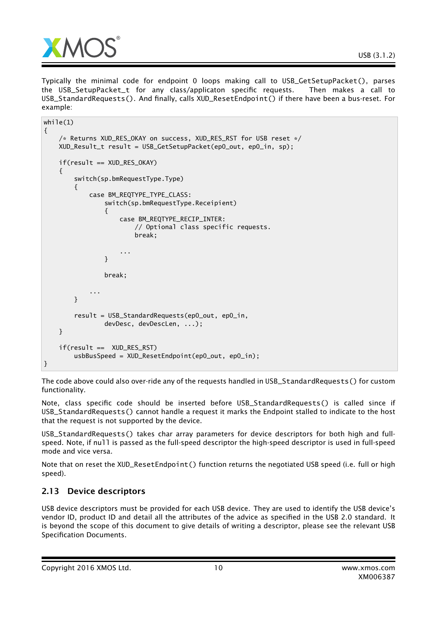

Typically the minimal code for endpoint 0 loops making call to USB\_GetSetupPacket(), parses the USB\_SetupPacket\_t for any class/applicaton specific requests. Then makes a call to USB\_StandardRequests(). And finally, calls XUD\_ResetEndpoint() if there have been a bus-reset. For example:

```
while(1){
    /* Returns XUD_RES_OKAY on success, XUD_RES_RST for USB reset */
    XUD_Result_t result = USB_GetSetupPacket(ep0_out, ep0_in, sp);
    if(result == XUD_RES_OKAY)
    {
        switch(sp.bmRequestType.Type)
        {
            case BM_REQTYPE_TYPE_CLASS:
                switch(sp.bmRequestType.Receipient)
                {
                    case BM_REQTYPE_RECIP_INTER:
                        // Optional class specific requests.
                        break;
                    ...
                }
                break;
            ...
        }
        result = USB_StandardRequests(ep0_out, ep0_in,
                devDesc, devDescLen, ...);
    }
    if(result == XUD_RES_RST)
        usbBusSpeed = XUD_ResetEndpoint(ep0_out, ep0_in);
}
```
The code above could also over-ride any of the requests handled in USB\_StandardRequests() for custom functionality.

Note, class specific code should be inserted before USB\_StandardRequests() is called since if USB\_StandardRequests() cannot handle a request it marks the Endpoint stalled to indicate to the host that the request is not supported by the device.

USB\_StandardRequests() takes char array parameters for device descriptors for both high and fullspeed. Note, if null is passed as the full-speed descriptor the high-speed descriptor is used in full-speed mode and vice versa.

Note that on reset the XUD\_ResetEndpoint() function returns the negotiated USB speed (i.e. full or high speed).

# 2.13 Device descriptors

USB device descriptors must be provided for each USB device. They are used to identify the USB device's vendor ID, product ID and detail all the attributes of the advice as specified in the USB 2.0 standard. It is beyond the scope of this document to give details of writing a descriptor, please see the relevant USB Specification Documents.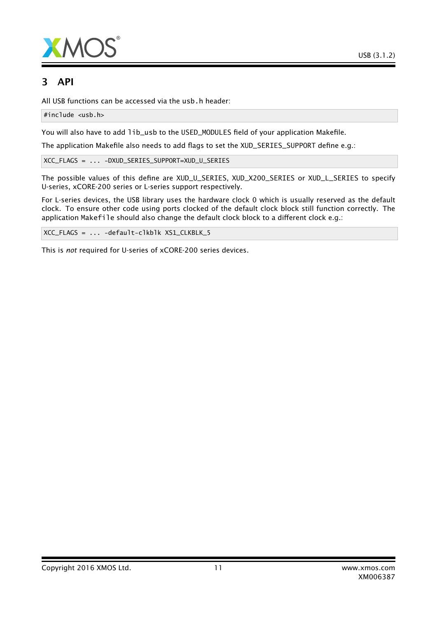



# 3 API

All USB functions can be accessed via the usb.h header:

#include <usb.h>

You will also have to add lib\_usb to the USED\_MODULES field of your application Makefile.

The application Makefile also needs to add flags to set the XUD\_SERIES\_SUPPORT define e.g.:

XCC\_FLAGS = ... -DXUD\_SERIES\_SUPPORT=XUD\_U\_SERIES

The possible values of this define are XUD\_U\_SERIES, XUD\_X200\_SERIES or XUD\_L\_SERIES to specify U-series, xCORE-200 series or L-series support respectively.

For L-series devices, the USB library uses the hardware clock 0 which is usually reserved as the default clock. To ensure other code using ports clocked of the default clock block still function correctly. The application Makefile should also change the default clock block to a different clock e.g.:

XCC\_FLAGS = ... -default-clkblk XS1\_CLKBLK\_5

This is *not* required for U-series of xCORE-200 series devices.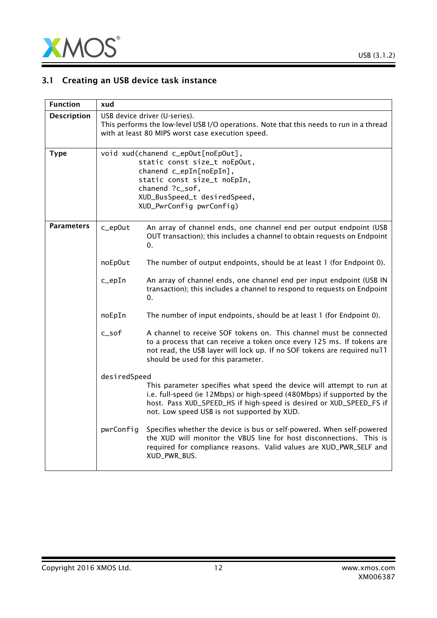

# 3.1 Creating an USB device task instance

| <b>Function</b>    | xud                                                                                                                                                                                                         |                                                                                                                                                                                                                                                                        |  |
|--------------------|-------------------------------------------------------------------------------------------------------------------------------------------------------------------------------------------------------------|------------------------------------------------------------------------------------------------------------------------------------------------------------------------------------------------------------------------------------------------------------------------|--|
| <b>Description</b> |                                                                                                                                                                                                             | USB device driver (U-series).<br>This performs the low-level USB I/O operations. Note that this needs to run in a thread<br>with at least 80 MIPS worst case execution speed.                                                                                          |  |
| <b>Type</b>        | void xud(chanend c_epOut[noEpOut],<br>static const size_t noEpOut,<br>chanend c_epIn[noEpIn],<br>static const size_t noEpIn,<br>chanend ?c_sof,<br>XUD_BusSpeed_t desiredSpeed,<br>XUD_PwrConfig pwrConfig) |                                                                                                                                                                                                                                                                        |  |
| <b>Parameters</b>  | c_ep0ut                                                                                                                                                                                                     | An array of channel ends, one channel end per output endpoint (USB<br>OUT transaction); this includes a channel to obtain requests on Endpoint<br>0.                                                                                                                   |  |
|                    | noEp0ut                                                                                                                                                                                                     | The number of output endpoints, should be at least 1 (for Endpoint 0).                                                                                                                                                                                                 |  |
|                    | $c$ _epIn                                                                                                                                                                                                   | An array of channel ends, one channel end per input endpoint (USB IN<br>transaction); this includes a channel to respond to requests on Endpoint<br>0.                                                                                                                 |  |
|                    | noEpIn                                                                                                                                                                                                      | The number of input endpoints, should be at least 1 (for Endpoint 0).                                                                                                                                                                                                  |  |
|                    | $c$ _sof                                                                                                                                                                                                    | A channel to receive SOF tokens on. This channel must be connected<br>to a process that can receive a token once every 125 ms. If tokens are<br>not read, the USB layer will lock up. If no SOF tokens are required null<br>should be used for this parameter.         |  |
|                    | desiredSpeed                                                                                                                                                                                                |                                                                                                                                                                                                                                                                        |  |
|                    |                                                                                                                                                                                                             | This parameter specifies what speed the device will attempt to run at<br>i.e. full-speed (ie 12Mbps) or high-speed (480Mbps) if supported by the<br>host. Pass XUD_SPEED_HS if high-speed is desired or XUD_SPEED_FS if<br>not. Low speed USB is not supported by XUD. |  |
|                    | pwrConfig                                                                                                                                                                                                   | Specifies whether the device is bus or self-powered. When self-powered<br>the XUD will monitor the VBUS line for host disconnections. This is<br>required for compliance reasons. Valid values are XUD_PWR_SELF and<br>XUD_PWR_BUS.                                    |  |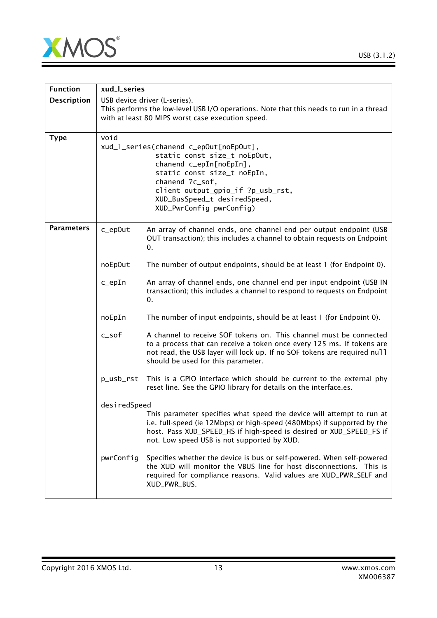

| <b>Function</b>    | xud_l_series                                                                                                                                                                                                                                                 |                                                                                                                                                                                                                                                                        |  |
|--------------------|--------------------------------------------------------------------------------------------------------------------------------------------------------------------------------------------------------------------------------------------------------------|------------------------------------------------------------------------------------------------------------------------------------------------------------------------------------------------------------------------------------------------------------------------|--|
| <b>Description</b> |                                                                                                                                                                                                                                                              | USB device driver (L-series).<br>This performs the low-level USB I/O operations. Note that this needs to run in a thread<br>with at least 80 MIPS worst case execution speed.                                                                                          |  |
| <b>Type</b>        | void<br>xud_l_series(chanend c_epOut[noEpOut],<br>static const size_t noEpOut,<br>chanend c_epIn[noEpIn],<br>static const size_t noEpIn,<br>chanend ?c_sof,<br>client output_gpio_if ?p_usb_rst,<br>XUD_BusSpeed_t desiredSpeed,<br>XUD_PwrConfig pwrConfig) |                                                                                                                                                                                                                                                                        |  |
| <b>Parameters</b>  | c_ep0ut                                                                                                                                                                                                                                                      | An array of channel ends, one channel end per output endpoint (USB<br>OUT transaction); this includes a channel to obtain requests on Endpoint<br>0.                                                                                                                   |  |
|                    | noEp0ut                                                                                                                                                                                                                                                      | The number of output endpoints, should be at least 1 (for Endpoint 0).                                                                                                                                                                                                 |  |
|                    | $c$ _epIn                                                                                                                                                                                                                                                    | An array of channel ends, one channel end per input endpoint (USB IN<br>transaction); this includes a channel to respond to requests on Endpoint<br>0.                                                                                                                 |  |
|                    | noEpIn                                                                                                                                                                                                                                                       | The number of input endpoints, should be at least 1 (for Endpoint 0).                                                                                                                                                                                                  |  |
|                    | $c$ _sof                                                                                                                                                                                                                                                     | A channel to receive SOF tokens on. This channel must be connected<br>to a process that can receive a token once every 125 ms. If tokens are<br>not read, the USB layer will lock up. If no SOF tokens are required null<br>should be used for this parameter.         |  |
|                    | p_usb_rst                                                                                                                                                                                                                                                    | This is a GPIO interface which should be current to the external phy<br>reset line. See the GPIO library for details on the interface.es.                                                                                                                              |  |
|                    | desiredSpeed                                                                                                                                                                                                                                                 | This parameter specifies what speed the device will attempt to run at<br>i.e. full-speed (ie 12Mbps) or high-speed (480Mbps) if supported by the<br>host. Pass XUD_SPEED_HS if high-speed is desired or XUD_SPEED_FS if<br>not. Low speed USB is not supported by XUD. |  |
|                    | pwrConfig                                                                                                                                                                                                                                                    | Specifies whether the device is bus or self-powered. When self-powered<br>the XUD will monitor the VBUS line for host disconnections. This is<br>required for compliance reasons. Valid values are XUD_PWR_SELF and<br>XUD_PWR_BUS.                                    |  |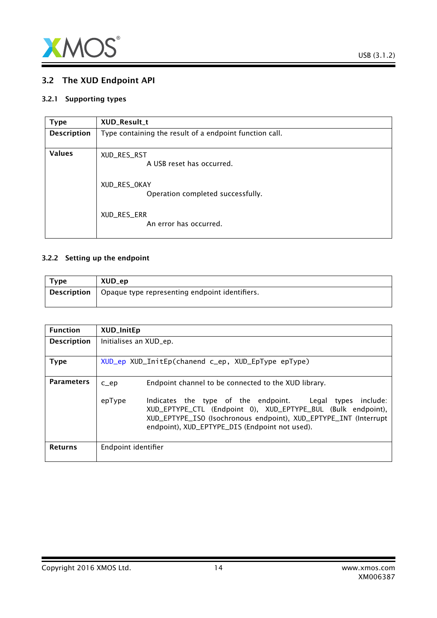

# <span id="page-13-0"></span>3.2 The XUD Endpoint API

#### 3.2.1 Supporting types

<span id="page-13-2"></span>

| <b>Type</b>        | XUD_Result_t                                            |
|--------------------|---------------------------------------------------------|
| <b>Description</b> | Type containing the result of a endpoint function call. |
| <b>Values</b>      | XUD_RES_RST<br>A USB reset has occurred.                |
|                    | XUD_RES_OKAY<br>Operation completed successfully.       |
|                    | XUD_RES_ERR<br>An error has occurred.                   |

#### 3.2.2 Setting up the endpoint

<span id="page-13-1"></span>

| <b>Type</b> | XUD_ep                                         |
|-------------|------------------------------------------------|
| Description | Opaque type representing endpoint identifiers. |

| <b>Function</b>    | <b>XUD_InitEp</b>                                  |                                                                                                                                                                                                                                                   |  |  |
|--------------------|----------------------------------------------------|---------------------------------------------------------------------------------------------------------------------------------------------------------------------------------------------------------------------------------------------------|--|--|
| <b>Description</b> |                                                    | Initialises an XUD_ep.                                                                                                                                                                                                                            |  |  |
| Type               | XUD_ep XUD_InitEp(chanend c_ep, XUD_EpType epType) |                                                                                                                                                                                                                                                   |  |  |
| <b>Parameters</b>  | $C$ $ep$                                           | Endpoint channel to be connected to the XUD library.                                                                                                                                                                                              |  |  |
|                    | epType                                             | Indicates the type of the endpoint. Legal types<br>include:<br>XUD_EPTYPE_CTL (Endpoint 0), XUD_EPTYPE_BUL (Bulk endpoint),<br>XUD_EPTYPE_ISO (Isochronous endpoint), XUD_EPTYPE_INT (Interrupt<br>endpoint), XUD_EPTYPE_DIS (Endpoint not used). |  |  |
| <b>Returns</b>     | Endpoint identifier                                |                                                                                                                                                                                                                                                   |  |  |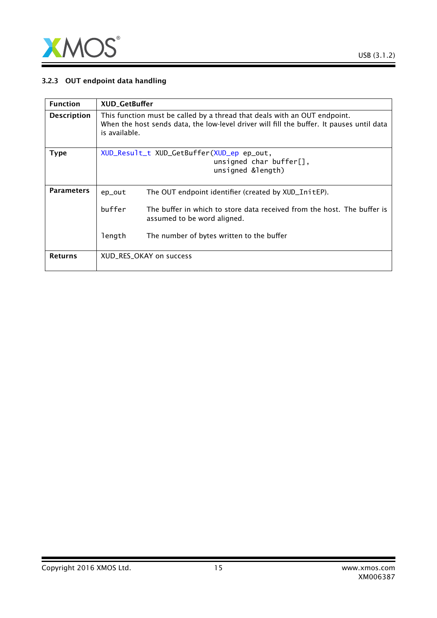

#### 3.2.3 OUT endpoint data handling

| <b>Function</b>    | <b>XUD_GetBuffer</b>                                                                                                                                                                    |                                                                                                        |  |
|--------------------|-----------------------------------------------------------------------------------------------------------------------------------------------------------------------------------------|--------------------------------------------------------------------------------------------------------|--|
| <b>Description</b> | This function must be called by a thread that deals with an OUT endpoint.<br>When the host sends data, the low-level driver will fill the buffer. It pauses until data<br>is available. |                                                                                                        |  |
| <b>Type</b>        |                                                                                                                                                                                         | XUD_Result_t XUD_GetBuffer(XUD_ep ep_out,<br>unsigned char buffer $[]$ ,<br>unsigned &length)          |  |
| <b>Parameters</b>  | ep_out                                                                                                                                                                                  | The OUT endpoint identifier (created by XUD_InitEP).                                                   |  |
|                    | buffer                                                                                                                                                                                  | The buffer in which to store data received from the host. The buffer is<br>assumed to be word aligned. |  |
|                    | length                                                                                                                                                                                  | The number of bytes written to the buffer                                                              |  |
| <b>Returns</b>     |                                                                                                                                                                                         | XUD_RES_OKAY on success                                                                                |  |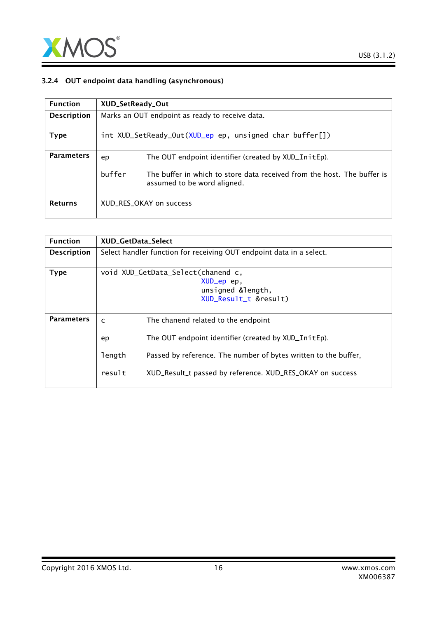

#### 3.2.4 OUT endpoint data handling (asynchronous)

| <b>Function</b>    | XUD_SetReady_Out                                |                                                                                                        |
|--------------------|-------------------------------------------------|--------------------------------------------------------------------------------------------------------|
| <b>Description</b> | Marks an OUT endpoint as ready to receive data. |                                                                                                        |
| <b>Type</b>        |                                                 | int XUD_SetReady_Out(XUD_ep ep, unsigned char buffer[])                                                |
| <b>Parameters</b>  | ep                                              | The OUT endpoint identifier (created by XUD_InitEp).                                                   |
|                    | buffer                                          | The buffer in which to store data received from the host. The buffer is<br>assumed to be word aligned. |
| <b>Returns</b>     |                                                 | XUD_RES_OKAY on success                                                                                |

| <b>Function</b>    | <b>XUD GetData Select</b>                                            |                                                                 |
|--------------------|----------------------------------------------------------------------|-----------------------------------------------------------------|
| <b>Description</b> | Select handler function for receiving OUT endpoint data in a select. |                                                                 |
| <b>Type</b>        | void XUD_GetData_Select(chanend c,                                   |                                                                 |
|                    |                                                                      | XUD_ep ep,                                                      |
|                    |                                                                      | unsigned &length,                                               |
|                    |                                                                      | XUD_Result_t &result)                                           |
|                    |                                                                      |                                                                 |
| <b>Parameters</b>  | C                                                                    | The chanend related to the endpoint                             |
|                    | ep                                                                   | The OUT endpoint identifier (created by XUD_InitEp).            |
|                    | length                                                               | Passed by reference. The number of bytes written to the buffer, |
|                    | result                                                               | XUD_Result_t passed by reference. XUD_RES_OKAY on success       |
|                    |                                                                      |                                                                 |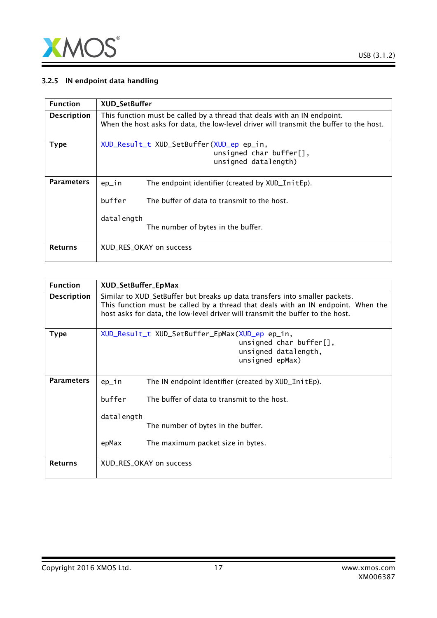

#### 3.2.5 IN endpoint data handling

| <b>Function</b>    | <b>XUD SetBuffer</b>                                                                                                                                                     |
|--------------------|--------------------------------------------------------------------------------------------------------------------------------------------------------------------------|
| <b>Description</b> | This function must be called by a thread that deals with an IN endpoint.<br>When the host asks for data, the low-level driver will transmit the buffer to the host.      |
| <b>Type</b>        | XUD_Result_t XUD_SetBuffer(XUD_ep ep_in,<br>unsigned char buffer $[]$ ,<br>unsigned datalength)                                                                          |
| <b>Parameters</b>  | The endpoint identifier (created by XUD_InitEp).<br>$ep_1n$<br>buffer<br>The buffer of data to transmit to the host.<br>datalength<br>The number of bytes in the buffer. |
| <b>Returns</b>     | XUD RES OKAY on success                                                                                                                                                  |

| <b>Function</b>    | XUD_SetBuffer_EpMax                                                                                                                                                                                                                                |                                                                                                                      |
|--------------------|----------------------------------------------------------------------------------------------------------------------------------------------------------------------------------------------------------------------------------------------------|----------------------------------------------------------------------------------------------------------------------|
| <b>Description</b> | Similar to XUD_SetBuffer but breaks up data transfers into smaller packets.<br>This function must be called by a thread that deals with an IN endpoint. When the<br>host asks for data, the low-level driver will transmit the buffer to the host. |                                                                                                                      |
| <b>Type</b>        |                                                                                                                                                                                                                                                    | XUD_Result_t XUD_SetBuffer_EpMax(XUD_ep ep_in,<br>unsigned char buffer[],<br>unsigned datalength,<br>unsigned epMax) |
| <b>Parameters</b>  | $ep_in$                                                                                                                                                                                                                                            | The IN endpoint identifier (created by XUD_InitEp).                                                                  |
|                    | buffer                                                                                                                                                                                                                                             | The buffer of data to transmit to the host.                                                                          |
|                    | datalength                                                                                                                                                                                                                                         | The number of bytes in the buffer.                                                                                   |
|                    | epMax                                                                                                                                                                                                                                              | The maximum packet size in bytes.                                                                                    |
| <b>Returns</b>     | XUD_RES_OKAY on success                                                                                                                                                                                                                            |                                                                                                                      |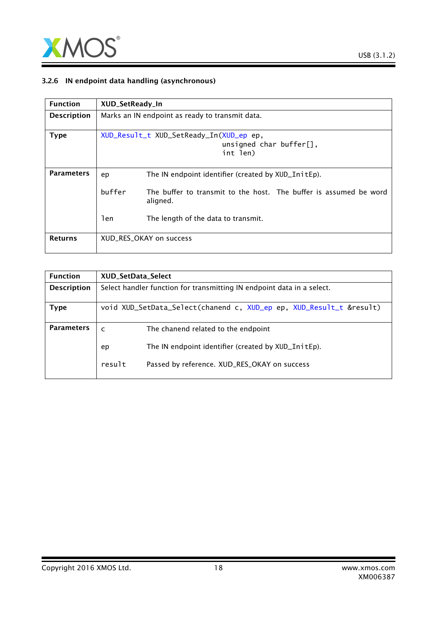

#### 3.2.6 IN endpoint data handling (asynchronous)

| <b>Function</b>    | XUD_SetReady_In                                 |                                                                                    |
|--------------------|-------------------------------------------------|------------------------------------------------------------------------------------|
| <b>Description</b> | Marks an IN endpoint as ready to transmit data. |                                                                                    |
| <b>Type</b>        |                                                 | XUD_Result_t XUD_SetReady_In(XUD_ep ep,<br>unsigned char buffer $[]$ ,<br>int len) |
| <b>Parameters</b>  | ep                                              | The IN endpoint identifier (created by XUD_InitEp).                                |
|                    | buffer                                          | The buffer to transmit to the host. The buffer is assumed be word<br>aligned.      |
|                    | len                                             | The length of the data to transmit.                                                |
| <b>Returns</b>     |                                                 | XUD RES OKAY on success                                                            |

| <b>Function</b>    | XUD_SetData_Select                                                     |  |
|--------------------|------------------------------------------------------------------------|--|
| <b>Description</b> | Select handler function for transmitting IN endpoint data in a select. |  |
| Type               | void XUD_SetData_Select(chanend c, XUD_ep ep, XUD_Result_t &result)    |  |
| <b>Parameters</b>  | The chanend related to the endpoint<br>$\mathsf{C}$                    |  |
|                    | The IN endpoint identifier (created by XUD_InitEp).<br>ep              |  |
|                    | result<br>Passed by reference. XUD_RES_OKAY on success                 |  |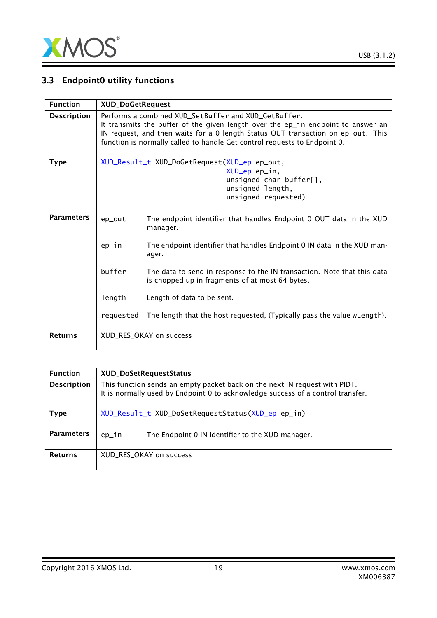

# 3.3 Endpoint0 utility functions

| <b>Function</b>    |                                                                                                                                                                                                                                                                                                           | <b>XUD_DoGetRequest</b>                                                                                                    |  |
|--------------------|-----------------------------------------------------------------------------------------------------------------------------------------------------------------------------------------------------------------------------------------------------------------------------------------------------------|----------------------------------------------------------------------------------------------------------------------------|--|
| <b>Description</b> | Performs a combined XUD_SetBuffer and XUD_GetBuffer.<br>It transmits the buffer of the given length over the ep_in endpoint to answer an<br>IN request, and then waits for a 0 length Status OUT transaction on ep_out. This<br>function is normally called to handle Get control requests to Endpoint 0. |                                                                                                                            |  |
| <b>Type</b>        | XUD_Result_t XUD_DoGetRequest(XUD_ep ep_out,<br>XUD_ep ep_in,<br>unsigned char buffer[],<br>unsigned length,<br>unsigned requested)                                                                                                                                                                       |                                                                                                                            |  |
| <b>Parameters</b>  | ep_out                                                                                                                                                                                                                                                                                                    | The endpoint identifier that handles Endpoint 0 OUT data in the XUD<br>manager.                                            |  |
|                    | ep_in                                                                                                                                                                                                                                                                                                     | The endpoint identifier that handles Endpoint 0 IN data in the XUD man-<br>ager.                                           |  |
|                    | buffer                                                                                                                                                                                                                                                                                                    | The data to send in response to the IN transaction. Note that this data<br>is chopped up in fragments of at most 64 bytes. |  |
|                    | length                                                                                                                                                                                                                                                                                                    | Length of data to be sent.                                                                                                 |  |
|                    | requested                                                                                                                                                                                                                                                                                                 | The length that the host requested, (Typically pass the value wLength).                                                    |  |
| <b>Returns</b>     |                                                                                                                                                                                                                                                                                                           | XUD_RES_OKAY on success                                                                                                    |  |

| <b>Function</b>    | XUD_DoSetRequestStatus                                                                                                                                        |
|--------------------|---------------------------------------------------------------------------------------------------------------------------------------------------------------|
| <b>Description</b> | This function sends an empty packet back on the next IN request with PID1.<br>It is normally used by Endpoint 0 to acknowledge success of a control transfer. |
| Type               | XUD_Result_t XUD_DoSetRequestStatus(XUD_ep ep_in)                                                                                                             |
| <b>Parameters</b>  | The Endpoint 0 IN identifier to the XUD manager.<br>ep_in                                                                                                     |
| <b>Returns</b>     | XUD_RES_OKAY on success                                                                                                                                       |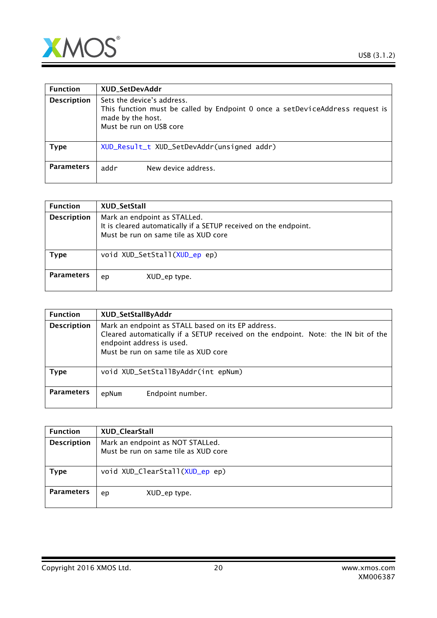



| <b>Function</b>    | XUD_SetDevAddr                                                                                                                                              |
|--------------------|-------------------------------------------------------------------------------------------------------------------------------------------------------------|
| <b>Description</b> | Sets the device's address.<br>This function must be called by Endpoint 0 once a setDeviceAddress request is<br>made by the host.<br>Must be run on USB core |
| <b>Type</b>        | XUD_Result_t XUD_SetDevAddr(unsigned addr)                                                                                                                  |
| <b>Parameters</b>  | addr<br>New device address.                                                                                                                                 |

| <b>Function</b>    | XUD_SetStall                                                                                                                             |
|--------------------|------------------------------------------------------------------------------------------------------------------------------------------|
| <b>Description</b> | Mark an endpoint as STALLed.<br>It is cleared automatically if a SETUP received on the endpoint.<br>Must be run on same tile as XUD core |
| Type               | void XUD_SetStall(XUD_ep ep)                                                                                                             |
| <b>Parameters</b>  | XUD_ep type.<br>ep                                                                                                                       |

| <b>Function</b>    | XUD_SetStallByAddr                                                                                                                                                                                            |
|--------------------|---------------------------------------------------------------------------------------------------------------------------------------------------------------------------------------------------------------|
| <b>Description</b> | Mark an endpoint as STALL based on its EP address.<br>Cleared automatically if a SETUP received on the endpoint. Note: the IN bit of the<br>endpoint address is used.<br>Must be run on same tile as XUD core |
| <b>Type</b>        | void XUD_SetStallByAddr(int epNum)                                                                                                                                                                            |
| <b>Parameters</b>  | Endpoint number.<br>epNum                                                                                                                                                                                     |

| <b>Function</b>    | XUD_ClearStall                                                           |
|--------------------|--------------------------------------------------------------------------|
| <b>Description</b> | Mark an endpoint as NOT STALLed.<br>Must be run on same tile as XUD core |
| <b>Type</b>        | void XUD_ClearStall(XUD_ep ep)                                           |
| <b>Parameters</b>  | XUD_ep type.<br>ep                                                       |

Copyright 2016 XMOS Ltd. 20 www.xmos.com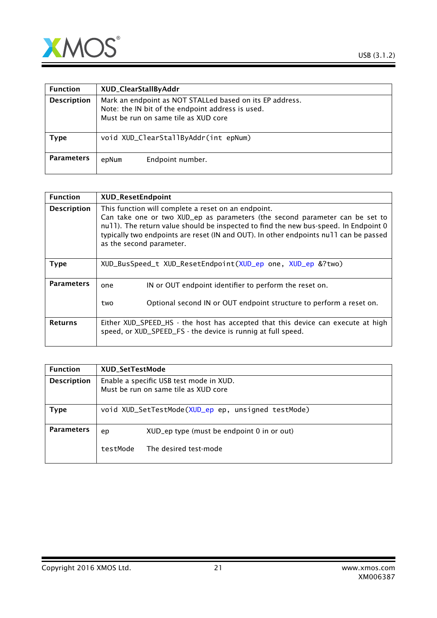

| <b>Function</b>    | XUD_ClearStallByAddr                                                                                                                                  |  |
|--------------------|-------------------------------------------------------------------------------------------------------------------------------------------------------|--|
| <b>Description</b> | Mark an endpoint as NOT STALLed based on its EP address.<br>Note: the IN bit of the endpoint address is used.<br>Must be run on same tile as XUD core |  |
| Type               | void XUD_ClearStallByAddr(int epNum)                                                                                                                  |  |
| <b>Parameters</b>  | Endpoint number.<br>epNum                                                                                                                             |  |

| <b>Function</b>    | <b>XUD_ResetEndpoint</b>                                                                                                                                                                                                                                                                                                                         |
|--------------------|--------------------------------------------------------------------------------------------------------------------------------------------------------------------------------------------------------------------------------------------------------------------------------------------------------------------------------------------------|
| <b>Description</b> | This function will complete a reset on an endpoint.<br>Can take one or two XUD_ep as parameters (the second parameter can be set to<br>null). The return value should be inspected to find the new bus-speed. In Endpoint 0<br>typically two endpoints are reset (IN and OUT). In other endpoints null can be passed<br>as the second parameter. |
| <b>Type</b>        | XUD_BusSpeed_t XUD_ResetEndpoint(XUD_ep one, XUD_ep &?two)                                                                                                                                                                                                                                                                                       |
| <b>Parameters</b>  | IN or OUT endpoint identifier to perform the reset on.<br>one<br>Optional second IN or OUT endpoint structure to perform a reset on.<br>two                                                                                                                                                                                                      |
| <b>Returns</b>     | Either XUD_SPEED_HS - the host has accepted that this device can execute at high<br>speed, or XUD_SPEED_FS - the device is runnig at full speed.                                                                                                                                                                                                 |

| <b>Function</b>    | <b>XUD SetTestMode</b>                                                          |                                                    |  |
|--------------------|---------------------------------------------------------------------------------|----------------------------------------------------|--|
| <b>Description</b> | Enable a specific USB test mode in XUD.<br>Must be run on same tile as XUD core |                                                    |  |
| <b>Type</b>        |                                                                                 | void XUD_SetTestMode(XUD_ep ep, unsigned testMode) |  |
| <b>Parameters</b>  | ep                                                                              | XUD_ep type (must be endpoint 0 in or out)         |  |
|                    | testMode                                                                        | The desired test-mode                              |  |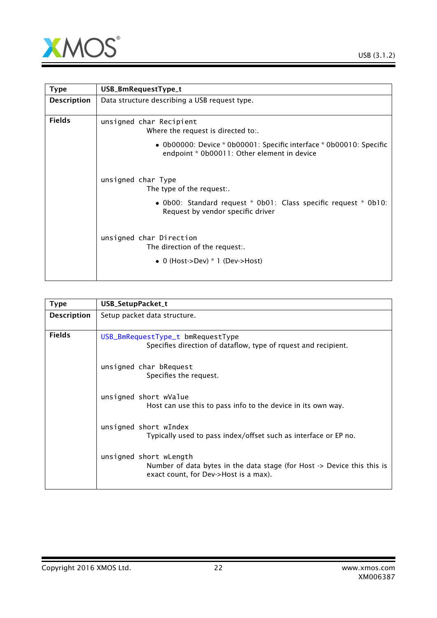

<span id="page-21-0"></span>

| <b>Type</b>        | USB_BmRequestType_t                                                                                                |
|--------------------|--------------------------------------------------------------------------------------------------------------------|
| <b>Description</b> | Data structure describing a USB request type.                                                                      |
| <b>Fields</b>      | unsigned char Recipient<br>Where the request is directed to:.                                                      |
|                    | • 0b00000: Device * 0b00001: Specific interface * 0b00010: Specific<br>endpoint * 0b00011: Other element in device |
|                    | unsigned char Type<br>The type of the request:.                                                                    |
|                    | • Ob00: Standard request * Ob01: Class specific request * Ob10:<br>Request by vendor specific driver               |
|                    | unsigned char Direction<br>The direction of the request:.                                                          |
|                    | • 0 (Host->Dev) $*$ 1 (Dev->Host)                                                                                  |

<span id="page-21-1"></span>

| <b>Type</b>        | USB_SetupPacket_t                                                                                                                                     |  |
|--------------------|-------------------------------------------------------------------------------------------------------------------------------------------------------|--|
| <b>Description</b> | Setup packet data structure.                                                                                                                          |  |
| <b>Fields</b>      | USB_BmRequestType_t bmRequestType<br>Specifies direction of dataflow, type of rquest and recipient.                                                   |  |
|                    | unsigned char bRequest<br>Specifies the request.                                                                                                      |  |
|                    | unsigned short wValue<br>Host can use this to pass info to the device in its own way.                                                                 |  |
|                    | unsigned short wIndex<br>Typically used to pass index/offset such as interface or EP no.                                                              |  |
|                    | unsigned short wLength<br>Number of data bytes in the data stage (for Host $\rightarrow$ Device this this is<br>exact count, for Dev->Host is a max). |  |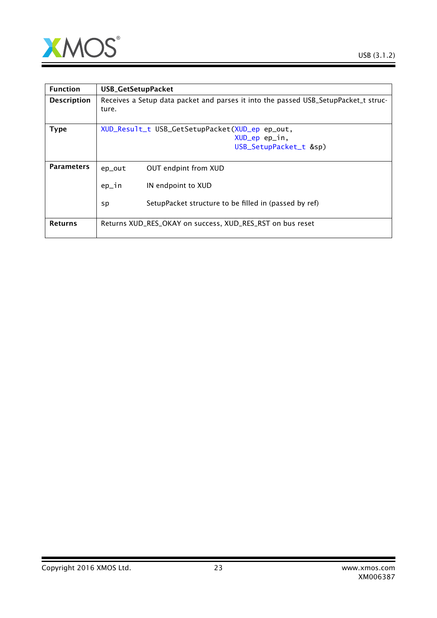

| <b>Function</b>    | USB_GetSetupPacket                             |                                                                                     |  |
|--------------------|------------------------------------------------|-------------------------------------------------------------------------------------|--|
| <b>Description</b> | ture.                                          | Receives a Setup data packet and parses it into the passed USB_SetupPacket_t struc- |  |
| <b>Type</b>        | XUD_Result_t USB_GetSetupPacket(XUD_ep ep_out, |                                                                                     |  |
|                    |                                                | XUD_ep ep_in,                                                                       |  |
|                    |                                                | USB_SetupPacket_t &sp)                                                              |  |
|                    |                                                |                                                                                     |  |
| <b>Parameters</b>  | ep_out                                         | OUT endpint from XUD                                                                |  |
|                    | $ep_in$                                        | IN endpoint to XUD                                                                  |  |
|                    | sp                                             | SetupPacket structure to be filled in (passed by ref)                               |  |
| <b>Returns</b>     |                                                | Returns XUD_RES_OKAY on success, XUD_RES_RST on bus reset                           |  |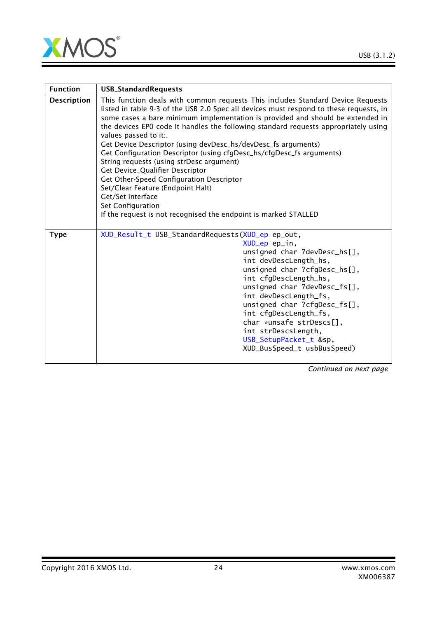

| <b>Function</b>    | <b>USB_StandardRequests</b>                                                                                                                                                                                                                                                                                                                                                                                                                                                                                                                                                                                                                                                                                                                                                                       |  |
|--------------------|---------------------------------------------------------------------------------------------------------------------------------------------------------------------------------------------------------------------------------------------------------------------------------------------------------------------------------------------------------------------------------------------------------------------------------------------------------------------------------------------------------------------------------------------------------------------------------------------------------------------------------------------------------------------------------------------------------------------------------------------------------------------------------------------------|--|
| <b>Description</b> | This function deals with common requests This includes Standard Device Requests<br>listed in table 9-3 of the USB 2.0 Spec all devices must respond to these requests, in<br>some cases a bare minimum implementation is provided and should be extended in<br>the devices EPO code It handles the following standard requests appropriately using<br>values passed to it:.<br>Get Device Descriptor (using devDesc_hs/devDesc_fs arguments)<br>Get Configuration Descriptor (using cfgDesc_hs/cfgDesc_fs arguments)<br>String requests (using strDesc argument)<br>Get Device_Qualifier Descriptor<br>Get Other-Speed Configuration Descriptor<br>Set/Clear Feature (Endpoint Halt)<br>Get/Set Interface<br>Set Configuration<br>If the request is not recognised the endpoint is marked STALLED |  |
| <b>Type</b>        | XUD_Result_t USB_StandardRequests(XUD_ep ep_out,<br>XUD_ep ep_in,<br>unsigned char ?devDesc_hs[],<br>int devDescLength_hs,<br>unsigned char ?cfgDesc_hs[],<br>int cfgDescLength_hs,<br>unsigned char ?devDesc_fs[],<br>int devDescLength_fs,<br>unsigned char ?cfgDesc_fs[],<br>int cfgDescLength_fs,<br>char *unsafe strDescs[],<br>int strDescsLength,<br>USB_SetupPacket_t &sp,<br>XUD_BusSpeed_t usbBusSpeed)                                                                                                                                                                                                                                                                                                                                                                                 |  |

*Continued on next page*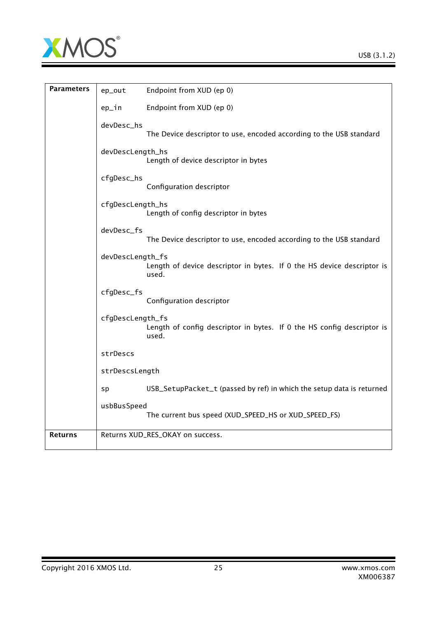

| <b>Parameters</b> | ep_out           | Endpoint from XUD (ep 0)                                                        |
|-------------------|------------------|---------------------------------------------------------------------------------|
|                   | ep_in            | Endpoint from XUD (ep 0)                                                        |
|                   | devDesc_hs       | The Device descriptor to use, encoded according to the USB standard             |
|                   | devDescLength_hs | Length of device descriptor in bytes                                            |
|                   | cfgDesc_hs       | Configuration descriptor                                                        |
|                   | cfgDescLength_hs | Length of config descriptor in bytes                                            |
|                   | devDesc_fs       | The Device descriptor to use, encoded according to the USB standard             |
|                   | devDescLength_fs | Length of device descriptor in bytes. If 0 the HS device descriptor is<br>used. |
|                   | cfgDesc_fs       | Configuration descriptor                                                        |
|                   | cfgDescLength_fs | Length of config descriptor in bytes. If 0 the HS config descriptor is<br>used. |
|                   | strDescs         |                                                                                 |
|                   | strDescsLength   |                                                                                 |
|                   | sp               | USB_SetupPacket_t (passed by ref) in which the setup data is returned           |
|                   | usbBusSpeed      | The current bus speed (XUD_SPEED_HS or XUD_SPEED_FS)                            |
| <b>Returns</b>    |                  | Returns XUD_RES_OKAY on success.                                                |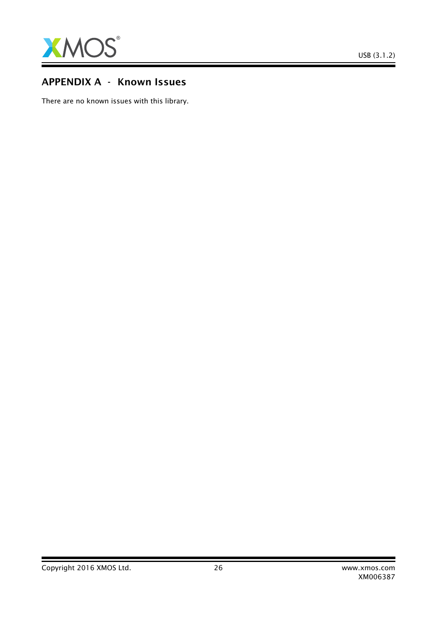

# APPENDIX A - Known Issues

There are no known issues with this library.